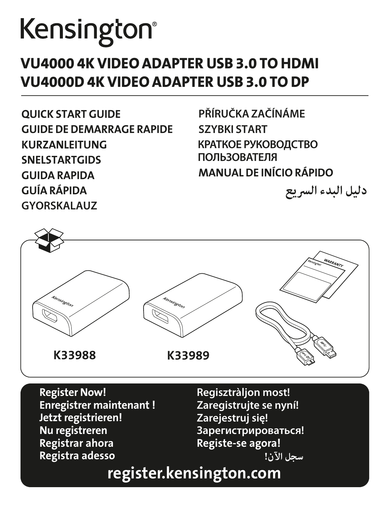# Kensington®

## VU4000 4K VIDEO ADAPTER USB 3.0 TO HDMI VU4000D 4K VIDEO ADAPTER USB 3.0 TO DP

QUICK START GUIDE GUIDE DE DEMARRAGE RAPIDE KURZANLEITUNG SNELSTARTGIDS GUIDA RAPIDA GUÍA RÁPIDA **GYORSKALAUZ**

**PŘÍRUČKA ZAČÍNÁME SZYBKI START КРАТКОЕ РУКОВОДСТВО ПОЛЬЗОВАТЕЛЯ** MANUAL DE INÍCIO RÁPIDO

**دليل البدء السريع**



Register Now! Enregistrer maintenant ! Jetzt registrieren! Nu registreren Registrar ahora Registra adesso

**Regisztràljon most! Zaregistrujte se nyní! Zarejestruj się! Зарегистрироваться!** Registe-se agora! **سجل الآن!** 

# register.kensington.com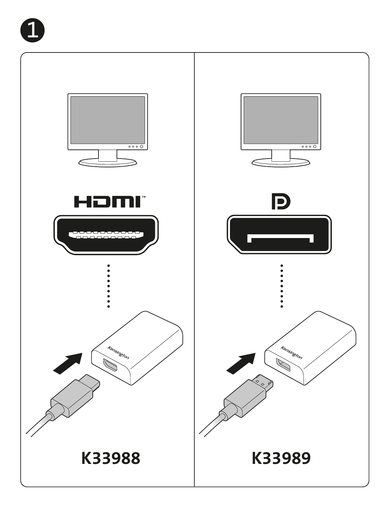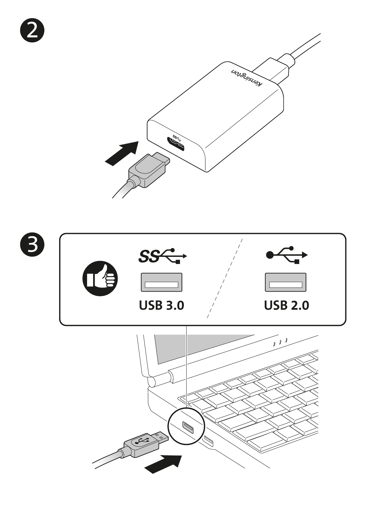

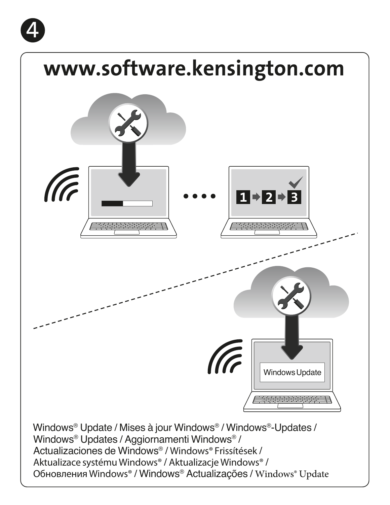

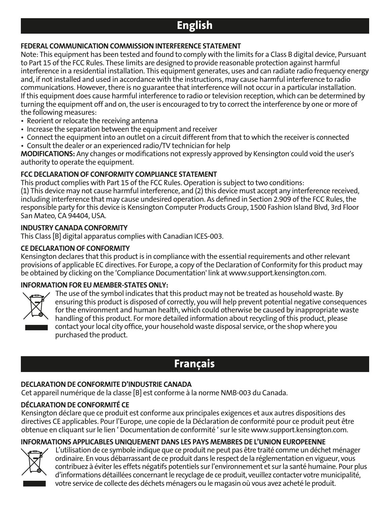## English

#### FEDERAL COMMUNICATION COMMISSION INTERFERENCE STATEMENT

Note: This equipment has been tested and found to comply with the limits for a Class B digital device, Pursuant to Part 15 of the FCC Rules. These limits are designed to provide reasonable protection against harmful interference in a residential installation. This equipment generates, uses and can radiate radio frequency energy and, if not installed and used in accordance with the instructions, may cause harmful interference to radio communications. However, there is no guarantee that interference will not occur in a particular installation. If this equipment does cause harmful interference to radio or television reception, which can be determined by turning the equipment off and on, the user is encouraged to try to correct the interference by one or more of the following measures:

- Reorient or relocate the receiving antenna
- Increase the separation between the equipment and receiver
- Connect the equipment into an outlet on a circuit different from that to which the receiver is connected
- Consult the dealer or an experienced radio/TV technician for help

MODIFICATIONS: Any changes or modifications not expressly approved by Kensington could void the user's authority to operate the equipment.

#### FCC DECLARATION OF CONFORMITY COMPLIANCE STATEMENT

This product complies with Part 15 of the FCC Rules. Operation is subject to two conditions:

(1) This device may not cause harmful interference, and (2) this device must accept any interference received, including interference that may cause undesired operation. As defined in Section 2.909 of the FCC Rules, the responsible party for this device is Kensington Computer Products Group, 1500 Fashion Island Blvd, 3rd Floor San Mateo, CA 94404, USA.

#### INDUSTRY CANADA CONFORMITY

This Class [B] digital apparatus complies with Canadian ICES-003.

#### CE DECLARATION OF CONFORMITY

Kensington declares that this product is in compliance with the essential requirements and other relevant provisions of applicable EC directives. For Europe, a copy of the Declaration of Conformity for this product may be obtained by clicking on the 'Compliance Documentation' link at www.support.kensington.com.

#### INFORMATION FOR EU MEMBER-STATES ONLY:



The use of the symbol indicates that this product may not be treated as household waste. By ensuring this product is disposed of correctly, you will help prevent potential negative consequences for the environment and human health, which could otherwise be caused by inappropriate waste handling of this product. For more detailed information about recycling of this product, please contact your local city office, your household waste disposal service, or the shop where you purchased the product.

## Français

#### DECLARATION DE CONFORMITE D'INDUSTRIE CANADA

Cet appareil numérique de la classe [B] est conforme à la norme NMB-003 du Canada.

#### DÉCLARATION DE CONFORMITÉ CE

Kensington déclare que ce produit est conforme aux principales exigences et aux autres dispositions des directives CE applicables. Pour l'Europe, une copie de la Déclaration de conformité pour ce produit peut être obtenue en cliquant sur le lien ' Documentation de conformité ' sur le site www.support.kensington.com.

#### INFORMATIONS APPLICABLES UNIQUEMENT DANS LES PAYS MEMBRES DE L'UNION EUROPEENNE



L'utilisation de ce symbole indique que ce produit ne peut pas être traité comme un déchet ménager ordinaire. En vous débarrassant de ce produit dans le respect de la réglementation en vigueur, vous contribuez à éviter les effets négatifs potentiels sur l'environnement et sur la santé humaine. Pour plus d'informations détaillées concernant le recyclage de ce produit, veuillez contacter votre municipalité, votre service de collecte des déchets ménagers ou le magasin où vous avez acheté le produit.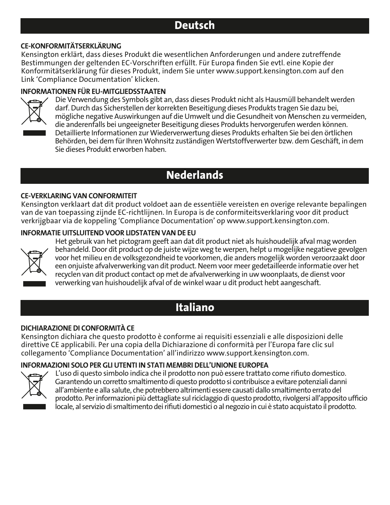## Deutsch

#### CE-KONFORMITÄTSERKLÄRUNG

Kensington erklärt, dass dieses Produkt die wesentlichen Anforderungen und andere zutreffende Bestimmungen der geltenden EC-Vorschriften erfüllt. Für Europa finden Sie evtl. eine Kopie der Konformitätserklärung für dieses Produkt, indem Sie unter www.support.kensington.com auf den Link 'Compliance Documentation' klicken.

#### INFORMATIONEN FÜR EU-MITGLIEDSSTAATEN



Die Verwendung des Symbols gibt an, dass dieses Produkt nicht als Hausmüll behandelt werden darf. Durch das Sicherstellen der korrekten Beseitigung dieses Produkts tragen Sie dazu bei, mögliche negative Auswirkungen auf die Umwelt und die Gesundheit von Menschen zu vermeiden, die anderenfalls bei ungeeigneter Beseitigung dieses Produkts hervorgerufen werden können. Detaillierte Informationen zur Wiederverwertung dieses Produkts erhalten Sie bei den örtlichen Behörden, bei dem für Ihren Wohnsitz zuständigen Wertstoffverwerter bzw. dem Geschäft, in dem Sie dieses Produkt erworben haben.

## **Nederlands**

#### CE-VERKLARING VAN CONFORMITEIT

Kensington verklaart dat dit product voldoet aan de essentiële vereisten en overige relevante bepalingen van de van toepassing zijnde EC-richtlijnen. In Europa is de conformiteitsverklaring voor dit product verkrijgbaar via de koppeling 'Compliance Documentation' op www.support.kensington.com.

#### INFORMATIE UITSLUITEND VOOR LIDSTATEN VAN DE EU



Het gebruik van het pictogram geeft aan dat dit product niet als huishoudelijk afval mag worden behandeld. Door dit product op de juiste wijze weg te werpen, helpt u mogelijke negatieve gevolgen voor het milieu en de volksgezondheid te voorkomen, die anders mogelijk worden veroorzaakt door een onjuiste afvalverwerking van dit product. Neem voor meer gedetailleerde informatie over het recyclen van dit product contact op met de afvalverwerking in uw woonplaats, de dienst voor verwerking van huishoudelijk afval of de winkel waar u dit product hebt aangeschaft.

## Italiano

#### DICHIARAZIONE DI CONFORMITÀ CE

Kensington dichiara che questo prodotto è conforme ai requisiti essenziali e alle disposizioni delle direttive CE applicabili. Per una copia della Dichiarazione di conformità per l'Europa fare clic sul collegamento 'Compliance Documentation' all'indirizzo www.support.kensington.com.

#### INFORMAZIONI SOLO PER GLI UTENTI IN STATI MEMBRI DELL'UNIONE EUROPEA



L'uso di questo simbolo indica che il prodotto non può essere trattato come rifiuto domestico. Garantendo un corretto smaltimento di questo prodotto si contribuisce a evitare potenziali danni all'ambiente e alla salute, che potrebbero altrimenti essere causati dallo smaltimento errato del prodotto. Per informazioni più dettagliate sul riciclaggio di questo prodotto, rivolgersi all'apposito ufficio locale, al servizio di smaltimento dei rifiuti domestici o al negozio in cui è stato acquistato il prodotto.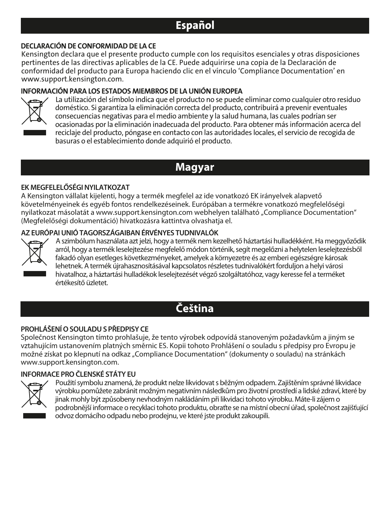## Español

#### DECLARACIÓN DE CONFORMIDAD DE LA CE

Kensington declara que el presente producto cumple con los requisitos esenciales y otras disposiciones pertinentes de las directivas aplicables de la CE. Puede adquirirse una copia de la Declaración de conformidad del producto para Europa haciendo clic en el vínculo 'Compliance Documentation' en www.support.kensington.com.

#### INFORMACIÓN PARA LOS ESTADOS MIEMBROS DE LA UNIÓN EUROPEA



La utilización del símbolo indica que el producto no se puede eliminar como cualquier otro residuo doméstico. Si garantiza la eliminación correcta del producto, contribuirá a prevenir eventuales consecuencias negativas para el medio ambiente y la salud humana, las cuales podrían ser ocasionadas por la eliminación inadecuada del producto. Para obtener más información acerca del reciclaje del producto, póngase en contacto con las autoridades locales, el servicio de recogida de basuras o el establecimiento donde adquirió el producto.

## **Magyar**

#### **EK MEGFELELŐSÉGI NYILATKOZAT**

A Kensington vállalat kijelenti, hogy a termék megfelel az ide vonatkozó EK irányelvek alapvető követelményeinek és egyéb fontos rendelkezéseinek. Európában a termékre vonatkozó megfelelőségi nyilatkozat másolatát a www.support.kensington.com webhelyen található "Compliance Documentation" (Megfelelőségi dokumentáció) hivatkozásra kattintva olvashatja el.

#### **AZ EURÓPAI UNIÓ TAGORSZÁGAIBAN ÉRVÉNYES TUDNIVALÓK**



A szimbólum használata azt jelzi, hogy a termék nem kezelhető háztartási hulladékként. Ha meggyőződik arról, hogy a termék leselejtezése megfelelő módon történik, segít megelőzni a helytelen leselejtezésből fakadó olyan esetleges következményeket, amelyek a környezetre és az emberi egészségre károsak lehetnek. A termék újrahasznosításával kapcsolatos részletes tudnivalókért forduljon a helyi városi hivatalhoz, a háztartási hulladékok leselejtezését végző szolgáltatóhoz, vagy keresse fel a terméket értékesítő üzletet.

## **Čeština**

#### **PROHLÁŠENÍ O SOULADU SPŘEDPISY CE**

Společnost Kensington tímto prohlašuje, že tento výrobek odpovídá stanoveným požadavkům a jiným se vztahujícím ustanovením platných směrnic ES. Kopii tohoto Prohlášení o souladu s předpisy pro Evropu je možné získat po klepnutí na odkaz "Compliance Documentation" (dokumenty o souladu) na stránkách www.support.kensington.com.

#### **INFORMACE PRO ČLENSKÉ STÁTY EU**



Použití symbolu znamená, že produkt nelze likvidovat s běžným odpadem. Zajištěním správné likvidace výrobku pomůžete zabránit možným negativním následkům pro životní prostředí a lidské zdraví, které by jinak mohly být způsobeny nevhodným nakládáním při likvidaci tohoto výrobku. Máte-li zájem o podrobnější informace o recyklaci tohoto produktu, obraťte se na místní obecní úřad, společnost zajišťující odvoz domácího odpadu nebo prodejnu, ve které jste produkt zakoupili.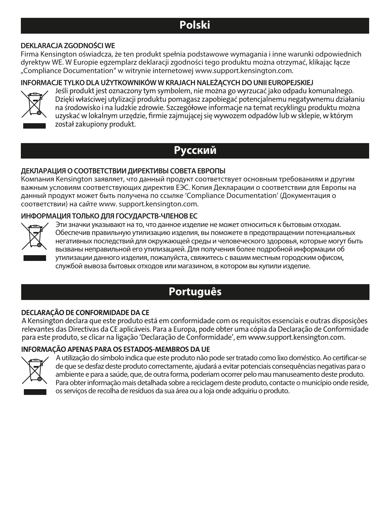## **Polski**

#### **DEKLARACJA ZGODNOŚCI WE**

Firma Kensington oświadcza, że ten produkt spełnia podstawowe wymagania i inne warunki odpowiednich dyrektyw WE. W Europie egzemplarz deklaracji zgodności tego produktu można otrzymać, klikając łącze "Compliance Documentation" w witrynie internetowej www.support.kensington.com.

#### **INFORMACJE TYLKO DLA UŻYTKOWNIKÓW W KRAJACH NALEŻĄCYCH DO UNII EUROPEJSKIEJ**



Jeśli produkt jest oznaczony tym symbolem, nie można go wyrzucać jako odpadu komunalnego. Dzięki właściwej utylizacji produktu pomagasz zapobiegać potencjalnemu negatywnemu działaniu na środowisko i na ludzkie zdrowie. Szczegółowe informacje na temat recyklingu produktu można uzyskać w lokalnym urzędzie, firmie zajmującej się wywozem odpadów lub w sklepie, w którym został zakupiony produkt.

## **Русский**

#### **ДЕКЛАРАЦИЯ О СООТВЕТСТВИИ ДИРЕКТИВЫ СОВЕТА ЕВРОПЫ**

Компания Kensington заявляет, что данный продукт соответствует основным требованиям и другим важным условиям соответствующих директив ЕЭС. Копия Декларации о соответствии для Европы на данный продукт может быть получена по ссылке 'Compliance Documentation' (Документация о соответствии) на сайте www. support.kensington.com.

#### **ИНФОРМАЦИЯ ТОЛЬКО ДЛЯ ГОСУДАРСТВ-ЧЛЕНОВ ЕС**



Эти значки указывают на то, что данное изделие не может относиться к бытовым отходам. Обеспечив правильную утилизацию изделия, вы поможете в предотвращении потенциальных негативных последствий для окружающей среды и человеческого здоровья, которые могут быть вызваны неправильной его утилизацией. Для получения более подробной информации об утилизации данного изделия, пожалуйста, свяжитесь с вашим местным городским офисом, службой вывоза бытовых отходов или магазином, в котором вы купили изделие.

## **Português**

#### DECLARAÇÃO DE CONFORMIDADE DA CE

A Kensington declara que este produto está em conformidade com os requisitos essenciais e outras disposições relevantes das Directivas da CE aplicáveis. Para a Europa, pode obter uma cópia da Declaração de Conformidade para este produto, se clicar na ligação 'Declaração de Conformidade', em www.support.kensington.com.

#### INFORMAÇÃO APENAS PARA OS ESTADOS-MEMBROS DA UE



A utilização do símbolo indica que este produto não pode ser tratado como lixo doméstico. Ao certificar-se de que se desfaz deste produto correctamente, ajudará a evitar potenciais consequências negativas para o ambiente e para a saúde, que, de outra forma, poderiam ocorrer pelo mau manuseamento deste produto. Para obter informação mais detalhada sobre a reciclagem deste produto, contacte o município onde reside, os serviços de recolha de resíduos da sua área ou a loja onde adquiriu o produto.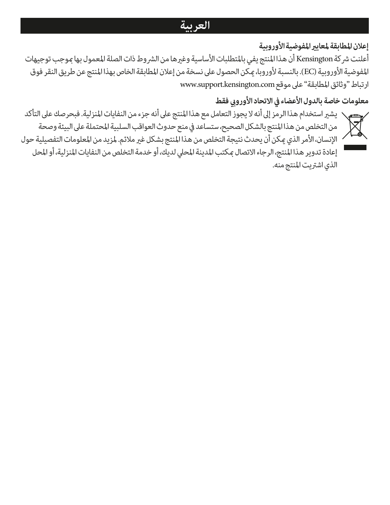## **العربية**

## **إعلان المطابقة لمعاي المفوضية الأوروبية**

أعلنت شركة Kensington أن هذا المنتج يفي بالمتطلبات الأساسية وغها من الشروط ذات الصلة المعمول بها وجب توجيهات المفوضية الأوروبية (EC(. بالنسبة لأوروبا، كن الحصول على نسخة من إعلان المطابقة الخاص بهذا المنتج عن طريق النقر فوق ارتباط "وثائق المطابقة" على موقع com.kensington.support.www

## معلومات خاصة بالدول الأعضاء في الاتحاد الأوروبي فقط

يش استخدام هذا الرمز إلى أنه لا يجوز التعامل مع هذا المنتج على أنه جزء من النفايات المنزلية. فبحرصك على التأكد من التخلص من هذا المنتج بالشكل الصحيح، ستساعد في منع حدوث العواقب السلبية المحتملة على البيئة وصحة الإنسان، الأمر الذي مكن أن يحدث نتيجة التخلص من هذا المنتج بشكل غير ملائم. لمزيد من المعلومات التفصيلية حول إعادة تدوير هذا المنتج، الرجاء الاتصال كتب المدينة المحلي لديك، أو خدمة التخلص من النفايات المنزلية، أو المحل الذي اشتريت المنتج منه.